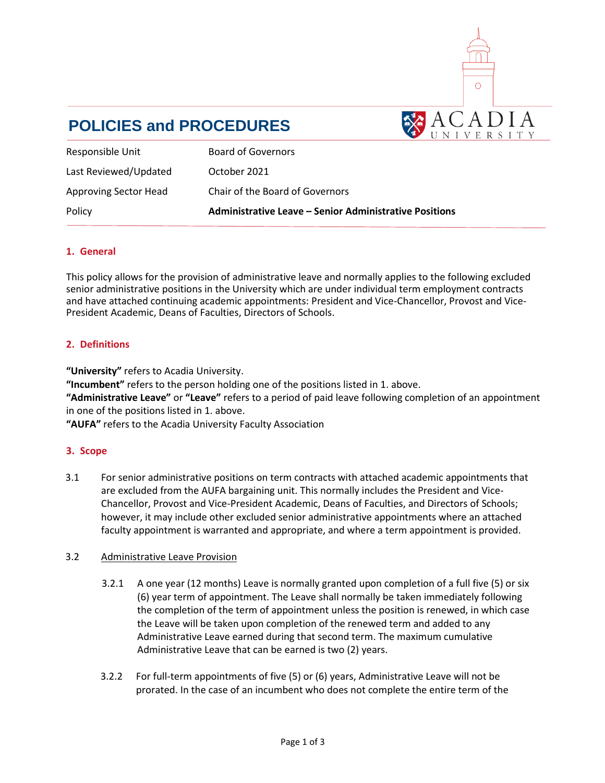

# **POLICIES and PROCEDURES**

| Responsible Unit             | <b>Board of Governors</b>                                     |
|------------------------------|---------------------------------------------------------------|
| Last Reviewed/Updated        | October 2021                                                  |
| <b>Approving Sector Head</b> | Chair of the Board of Governors                               |
| Policy                       | <b>Administrative Leave – Senior Administrative Positions</b> |

# **1. General**

This policy allows for the provision of administrative leave and normally applies to the following excluded senior administrative positions in the University which are under individual term employment contracts and have attached continuing academic appointments: President and Vice-Chancellor, Provost and Vice-President Academic, Deans of Faculties, Directors of Schools.

# **2. Definitions**

**"University"** refers to Acadia University.

**"Incumbent"** refers to the person holding one of the positions listed in 1. above.

**"Administrative Leave"** or **"Leave"** refers to a period of paid leave following completion of an appointment in one of the positions listed in 1. above.

**"AUFA"** refers to the Acadia University Faculty Association

# **3. Scope**

3.1 For senior administrative positions on term contracts with attached academic appointments that are excluded from the AUFA bargaining unit. This normally includes the President and Vice-Chancellor, Provost and Vice-President Academic, Deans of Faculties, and Directors of Schools; however, it may include other excluded senior administrative appointments where an attached faculty appointment is warranted and appropriate, and where a term appointment is provided.

# 3.2 Administrative Leave Provision

- 3.2.1 A one year (12 months) Leave is normally granted upon completion of a full five (5) or six (6) year term of appointment. The Leave shall normally be taken immediately following the completion of the term of appointment unless the position is renewed, in which case the Leave will be taken upon completion of the renewed term and added to any Administrative Leave earned during that second term. The maximum cumulative Administrative Leave that can be earned is two (2) years.
- 3.2.2 For full-term appointments of five (5) or (6) years, Administrative Leave will not be prorated. In the case of an incumbent who does not complete the entire term of the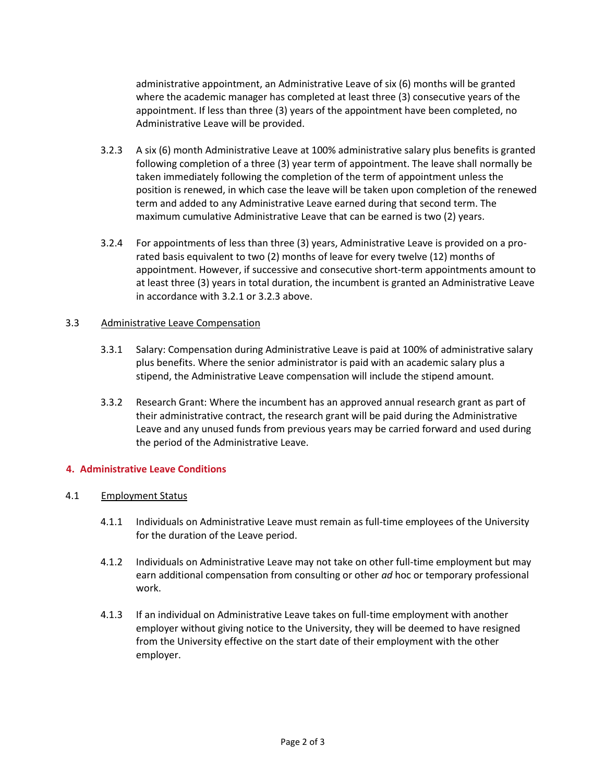administrative appointment, an Administrative Leave of six (6) months will be granted where the academic manager has completed at least three (3) consecutive years of the appointment. If less than three (3) years of the appointment have been completed, no Administrative Leave will be provided.

- 3.2.3 A six (6) month Administrative Leave at 100% administrative salary plus benefits is granted following completion of a three (3) year term of appointment. The leave shall normally be taken immediately following the completion of the term of appointment unless the position is renewed, in which case the leave will be taken upon completion of the renewed term and added to any Administrative Leave earned during that second term. The maximum cumulative Administrative Leave that can be earned is two (2) years.
- 3.2.4 For appointments of less than three (3) years, Administrative Leave is provided on a prorated basis equivalent to two (2) months of leave for every twelve (12) months of appointment. However, if successive and consecutive short-term appointments amount to at least three (3) years in total duration, the incumbent is granted an Administrative Leave in accordance with 3.2.1 or 3.2.3 above.

## 3.3 Administrative Leave Compensation

- 3.3.1 Salary: Compensation during Administrative Leave is paid at 100% of administrative salary plus benefits. Where the senior administrator is paid with an academic salary plus a stipend, the Administrative Leave compensation will include the stipend amount.
- 3.3.2 Research Grant: Where the incumbent has an approved annual research grant as part of their administrative contract, the research grant will be paid during the Administrative Leave and any unused funds from previous years may be carried forward and used during the period of the Administrative Leave.

#### **4. Administrative Leave Conditions**

#### 4.1 Employment Status

- 4.1.1 Individuals on Administrative Leave must remain as full-time employees of the University for the duration of the Leave period.
- 4.1.2 Individuals on Administrative Leave may not take on other full-time employment but may earn additional compensation from consulting or other *ad* hoc or temporary professional work.
- 4.1.3 If an individual on Administrative Leave takes on full-time employment with another employer without giving notice to the University, they will be deemed to have resigned from the University effective on the start date of their employment with the other employer.